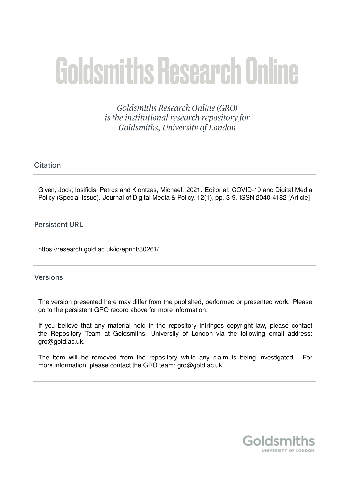# **Goldsmiths Research Online**

**Goldsmiths Research Online (GRO)** is the institutional research repository for Goldsmiths, University of London

### Citation

Given, Jock; Iosifidis, Petros and Klontzas, Michael. 2021. Editorial: COVID-19 and Digital Media Policy (Special Issue). Journal of Digital Media & Policy, 12(1), pp. 3-9. ISSN 2040-4182 [Article]

#### **Persistent URL**

https://research.gold.ac.uk/id/eprint/30261/

#### **Versions**

The version presented here may differ from the published, performed or presented work. Please go to the persistent GRO record above for more information.

If you believe that any material held in the repository infringes copyright law, please contact the Repository Team at Goldsmiths, University of London via the following email address: gro@gold.ac.uk.

The item will be removed from the repository while any claim is being investigated. For more information, please contact the GRO team: gro@gold.ac.uk

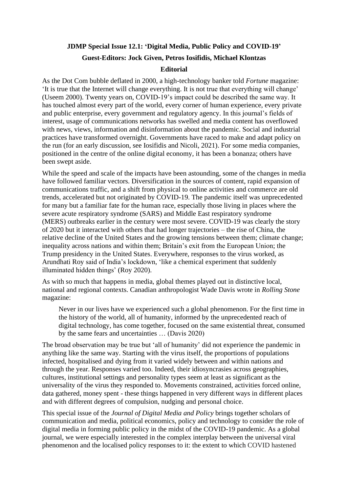## **JDMP Special Issue 12.1: 'Digital Media, Public Policy and COVID-19' Guest-Editors: Jock Given, Petros Iosifidis, Michael Klontzas Editorial**

As the Dot Com bubble deflated in 2000, a high-technology banker told *Fortune* magazine: 'It is true that the Internet will change everything. It is not true that everything will change' (Useem 2000). Twenty years on, COVID-19's impact could be described the same way. It has touched almost every part of the world, every corner of human experience, every private and public enterprise, every government and regulatory agency. In this journal's fields of interest, usage of communications networks has swelled and media content has overflowed with news, views, information and disinformation about the pandemic. Social and industrial practices have transformed overnight. Governments have raced to make and adapt policy on the run (for an early discussion, see Iosifidis and Nicoli, 2021). For some media companies, positioned in the centre of the online digital economy, it has been a bonanza; others have been swept aside.

While the speed and scale of the impacts have been astounding, some of the changes in media have followed familiar vectors. Diversification in the sources of content, rapid expansion of communications traffic, and a shift from physical to online activities and commerce are old trends, accelerated but not originated by COVID-19. The pandemic itself was unprecedented for many but a familiar fate for the human race, especially those living in places where the severe acute respiratory syndrome (SARS) and Middle East respiratory syndrome (MERS) outbreaks earlier in the century were most severe. COVID-19 was clearly the story of 2020 but it interacted with others that had longer trajectories – the rise of China, the relative decline of the United States and the growing tensions between them; climate change; inequality across nations and within them; Britain's exit from the European Union; the Trump presidency in the United States. Everywhere, responses to the virus worked, as Arundhati Roy said of India's lockdown, 'like a chemical experiment that suddenly illuminated hidden things' (Roy 2020).

As with so much that happens in media, global themes played out in distinctive local, national and regional contexts. Canadian anthropologist Wade Davis wrote in *Rolling Stone* magazine:

Never in our lives have we experienced such a global phenomenon. For the first time in the history of the world, all of humanity, informed by the unprecedented reach of digital technology, has come together, focused on the same existential threat, consumed by the same fears and uncertainties … (Davis 2020)

The broad observation may be true but 'all of humanity' did not experience the pandemic in anything like the same way. Starting with the virus itself, the proportions of populations infected, hospitalised and dying from it varied widely between and within nations and through the year. Responses varied too. Indeed, their idiosyncrasies across geographies, cultures, institutional settings and personality types seem at least as significant as the universality of the virus they responded to. Movements constrained, activities forced online, data gathered, money spent - these things happened in very different ways in different places and with different degrees of compulsion, nudging and personal choice.

This special issue of the *Journal of Digital Media and Policy* brings together scholars of communication and media, political economics, policy and technology to consider the role of digital media in forming public policy in the midst of the COVID-19 pandemic. As a global journal, we were especially interested in the complex interplay between the universal viral phenomenon and the localised policy responses to it: the extent to which COVID hastened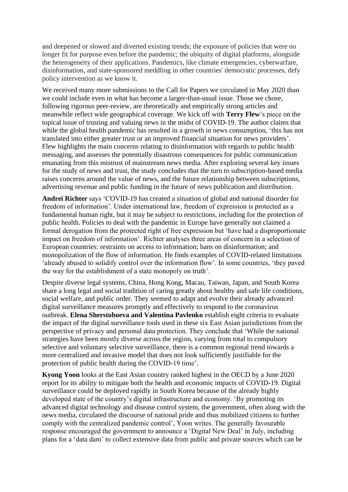and deepened or slowed and diverted existing trends; the exposure of policies that were no longer fit for purpose even before the pandemic; the ubiquity of digital platforms, alongside the heterogeneity of their applications. Pandemics, like climate emergencies, cyberwarfare, disinformation, and state-sponsored meddling in other countries' democratic processes, defy policy intervention as we know it.

We received many more submissions to the Call for Papers we circulated in May 2020 than we could include even in what has become a larger-than-usual issue. Those we chose, following rigorous peer-review, are theoretically and empirically strong articles and meanwhile reflect wide geographical coverage. We kick off with **Terry Flew**'s piece on the topical issue of trusting and valuing news in the midst of COVID-19. The author claims that while the global health pandemic has resulted in a growth in news consumption, 'this has not translated into either greater trust or an improved financial situation for news providers'. Flew highlights the main concerns relating to disinformation with regards to public health messaging, and assesses the potentially disastrous consequences for public communication emanating from this mistrust of mainstream news media. After exploring several key issues for the study of news and trust, the study concludes that the turn to subscription-based media raises concerns around the value of news, and the future relationship between subscriptions, advertising revenue and public funding in the future of news publication and distribution.

**Andrei Richter** says 'COVID-19 has created a situation of global and national disorder for freedom of information'. Under international law, freedom of expression is protected as a fundamental human right, but it may be subject to restrictions, including for the protection of public health. Policies to deal with the pandemic in Europe have generally not claimed a formal derogation from the protected right of free expression but 'have had a disproportionate impact on freedom of information'. Richter analyses three areas of concern in a selection of European countries: restraints on access to information; bans on disinformation; and monopolization of the flow of information. He finds examples of COVID-related limitations 'already abused to solidify control over the information flow'. In some countries, 'they paved the way for the establishment of a state monopoly on truth'.

Despite diverse legal systems, China, Hong Kong, Macau, Taiwan, Japan, and South Korea share a long legal and social tradition of caring greatly about healthy and safe life conditions, social welfare, and public order. They seemed to adapt and evolve their already advanced digital surveillance measures promptly and effectively to respond to the coronavirus outbreak. **Elena Sherstoboeva and Valentina Pavlenko** establish eight criteria to evaluate the impact of the digital surveillance tools used in these six East Asian jurisdictions from the perspective of privacy and personal data protection. They conclude that 'While the national strategies have been mostly diverse across the region, varying from total to compulsory selective and voluntary selective surveillance, there is a common regional trend towards a more centralized and invasive model that does not look sufficiently justifiable for the protection of public health during the COVID-19 time'.

**Kyong Yoon** looks at the East Asian country ranked highest in the OECD by a June 2020 report for its ability to mitigate both the health and economic impacts of COVID-19. Digital surveillance could be deployed rapidly in South Korea because of the already highly developed state of the country's digital infrastructure and economy. 'By promoting its advanced digital technology and disease control system, the government, often along with the news media, circulated the discourse of national pride and thus mobilized citizens to further comply with the centralized pandemic control', Yoon writes. The generally favourable response encouraged the government to announce a 'Digital New Deal' in July, including plans for a 'data dam' to collect extensive data from public and private sources which can be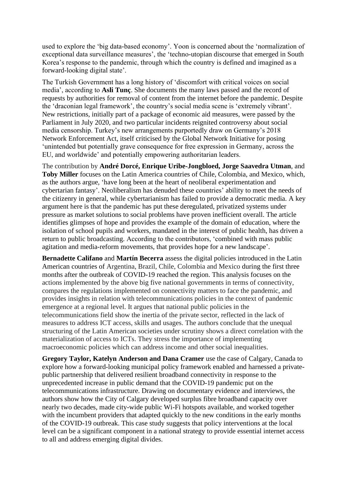used to explore the 'big data-based economy'. Yoon is concerned about the 'normalization of exceptional data surveillance measures', the 'techno-utopian discourse that emerged in South Korea's response to the pandemic, through which the country is defined and imagined as a forward-looking digital state'.

The Turkish Government has a long history of 'discomfort with critical voices on social media', according to **Asli Tunç**. She documents the many laws passed and the record of requests by authorities for removal of content from the internet before the pandemic. Despite the 'draconian legal framework', the country's social media scene is 'extremely vibrant'. New restrictions, initially part of a package of economic aid measures, were passed by the Parliament in July 2020, and two particular incidents reignited controversy about social media censorship. Turkey's new arrangements purportedly draw on Germany's 2018 Network Enforcement Act, itself criticised by the Global Network Initiative for posing 'unintended but potentially grave consequence for free expression in Germany, across the EU, and worldwide' and potentially empowering authoritarian leaders.

The contribution by **André Dorcé, Enrique Uribe-Jongbloed, Jorge Saavedra Utman**, and **Toby Miller** focuses on the Latin America countries of Chile, Colombia, and Mexico, which, as the authors argue, 'have long been at the heart of neoliberal experimentation and cybertarian fantasy'. Neoliberalism has denuded these countries' ability to meet the needs of the citizenry in general, while cybertarianism has failed to provide a democratic media. A key argument here is that the pandemic has put these deregulated, privatized systems under pressure as market solutions to social problems have proven inefficient overall. The article identifies glimpses of hope and provides the example of the domain of education, where the isolation of school pupils and workers, mandated in the interest of public health, has driven a return to public broadcasting. According to the contributors, 'combined with mass public agitation and media-reform movements, that provides hope for a new landscape'.

**Bernadette Califano** and **Martín Becerra** assess the digital policies introduced in the Latin American countries of Argentina, Brazil, Chile, Colombia and Mexico during the first three months after the outbreak of COVID-19 reached the region. This analysis focuses on the actions implemented by the above big five national governments in terms of connectivity, compares the regulations implemented on connectivity matters to face the pandemic, and provides insights in relation with telecommunications policies in the context of pandemic emergence at a regional level. It argues that national public policies in the telecommunications field show the inertia of the private sector, reflected in the lack of measures to address ICT access, skills and usages. The authors conclude that the unequal structuring of the Latin American societies under scrutiny shows a direct correlation with the materialization of access to ICTs. They stress the importance of implementing macroeconomic policies which can address income and other social inequalities.

**Gregory Taylor, Katelyn Anderson and Dana Cramer** use the case of Calgary, Canada to explore how a forward-looking municipal policy framework enabled and harnessed a privatepublic partnership that delivered resilient broadband connectivity in response to the unprecedented increase in public demand that the COVID-19 pandemic put on the telecommunications infrastructure. Drawing on documentary evidence and interviews, the authors show how the City of Calgary developed surplus fibre broadband capacity over nearly two decades, made city-wide public Wi-Fi hotspots available, and worked together with the incumbent providers that adapted quickly to the new conditions in the early months of the COVID-19 outbreak. This case study suggests that policy interventions at the local level can be a significant component in a national strategy to provide essential internet access to all and address emerging digital divides.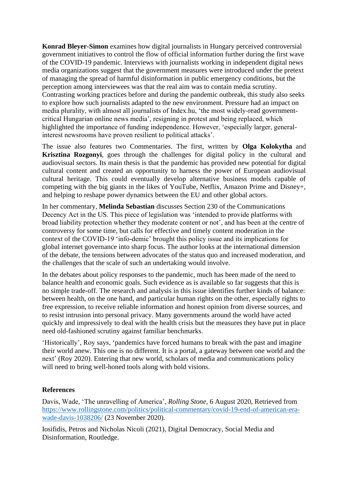**Konrad Bleyer-Simon** examines how digital journalists in Hungary perceived controversial government initiatives to control the flow of official information further during the first wave of the COVID-19 pandemic. Interviews with journalists working in independent digital news media organizations suggest that the government measures were introduced under the pretext of managing the spread of harmful disinformation in public emergency conditions, but the perception among interviewees was that the real aim was to contain media scrutiny. Contrasting working practices before and during the pandemic outbreak, this study also seeks to explore how such journalists adapted to the new environment. Pressure had an impact on media plurality, with almost all journalists of Index.hu, 'the most widely-read governmentcritical Hungarian online news media', resigning in protest and being replaced, which highlighted the importance of funding independence. However, 'especially larger, generalinterest newsrooms have proven resilient to political attacks'.

The issue also features two Commentaries. The first, written by **Olga Kolokytha** and **Krisztina Rozgonyi**, goes through the challenges for digital policy in the cultural and audiovisual sectors. Its main thesis is that the pandemic has provided new potential for digital cultural content and created an opportunity to harness the power of European audiovisual cultural heritage. This could eventually develop alternative business models capable of competing with the big giants in the likes of YouTube, Netflix, Amazon Prime and Disney+, and helping to reshape power dynamics between the EU and other global actors.

In her commentary, **Melinda Sebastian** discusses Section 230 of the Communications Decency Act in the US. This piece of legislation was 'intended to provide platforms with broad liability protection whether they moderate content or not', and has been at the centre of controversy for some time, but calls for effective and timely content moderation in the context of the COVID-19 'info-demic' brought this policy issue and its implications for global internet governance into sharp focus. The author looks at the international dimension of the debate, the tensions between advocates of the status quo and increased moderation, and the challenges that the scale of such an undertaking would involve.

In the debates about policy responses to the pandemic, much has been made of the need to balance health and economic goals. Such evidence as is available so far suggests that this is no simple trade-off. The research and analysis in this issue identifies further kinds of balance: between health, on the one hand, and particular human rights on the other, especially rights to free expression, to receive reliable information and honest opinion from diverse sources, and to resist intrusion into personal privacy. Many governments around the world have acted quickly and impressively to deal with the health crisis but the measures they have put in place need old-fashioned scrutiny against familiar benchmarks.

'Historically', Roy says, 'pandemics have forced humans to break with the past and imagine their world anew. This one is no different. It is a portal, a gateway between one world and the next' (Roy 2020). Entering that new world, scholars of media and communications policy will need to bring well-honed tools along with bold visions.

#### **References**

Davis, Wade, 'The unravelling of America', *Rolling Stone*, 6 August 2020, Retrieved from [https://www.rollingstone.com/politics/political-commentary/covid-19-end-of-american-era](https://www.rollingstone.com/politics/political-commentary/covid-19-end-of-american-era-wade-davis-1038206/)[wade-davis-1038206/](https://www.rollingstone.com/politics/political-commentary/covid-19-end-of-american-era-wade-davis-1038206/) (23 November 2020).

Iosifidis, Petros and Nicholas Nicoli (2021), Digital Democracy, Social Media and Disinformation, Routledge.